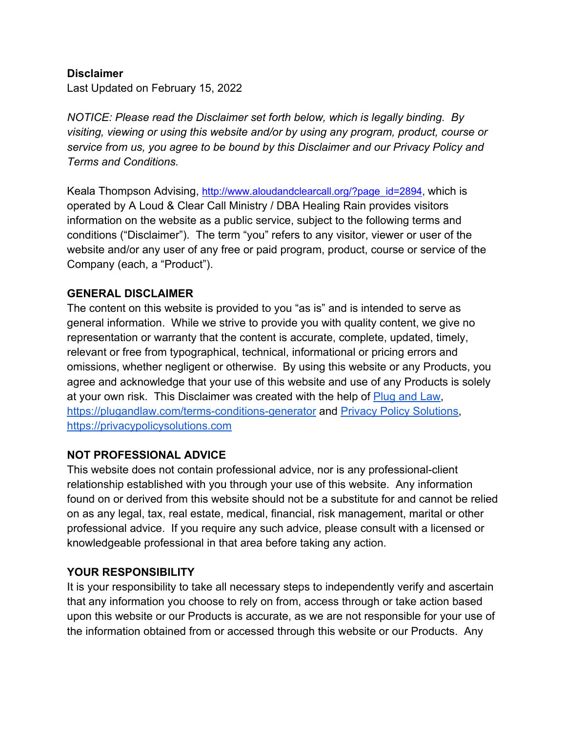### **Disclaimer**

Last Updated on February 15, 2022

*NOTICE: Please read the Disclaimer set forth below, which is legally binding. By visiting, viewing or using this website and/or by using any program, product, course or service from us, you agree to be bound by this Disclaimer and our Privacy Policy and Terms and Conditions.*

Keala Thompson Advising, http://www.aloudandclearcall.org/?page\_id=2894, which is operated by A Loud & Clear Call Ministry / DBA Healing Rain provides visitors information on the website as a public service, subject to the following terms and conditions ("Disclaimer"). The term "you" refers to any visitor, viewer or user of the website and/or any user of any free or paid program, product, course or service of the Company (each, a "Product").

### **GENERAL DISCLAIMER**

The content on this website is provided to you "as is" and is intended to serve as general information. While we strive to provide you with quality content, we give no representation or warranty that the content is accurate, complete, updated, timely, relevant or free from typographical, technical, informational or pricing errors and omissions, whether negligent or otherwise. By using this website or any Products, you agree and acknowledge that your use of this website and use of any Products is solely at your own risk. This Disclaimer was created with the help of Plug and Law, https://plugandlaw.com/terms-conditions-generator and Privacy Policy Solutions, https://privacypolicysolutions.com

#### **NOT PROFESSIONAL ADVICE**

This website does not contain professional advice, nor is any professional-client relationship established with you through your use of this website. Any information found on or derived from this website should not be a substitute for and cannot be relied on as any legal, tax, real estate, medical, financial, risk management, marital or other professional advice. If you require any such advice, please consult with a licensed or knowledgeable professional in that area before taking any action.

#### **YOUR RESPONSIBILITY**

It is your responsibility to take all necessary steps to independently verify and ascertain that any information you choose to rely on from, access through or take action based upon this website or our Products is accurate, as we are not responsible for your use of the information obtained from or accessed through this website or our Products. Any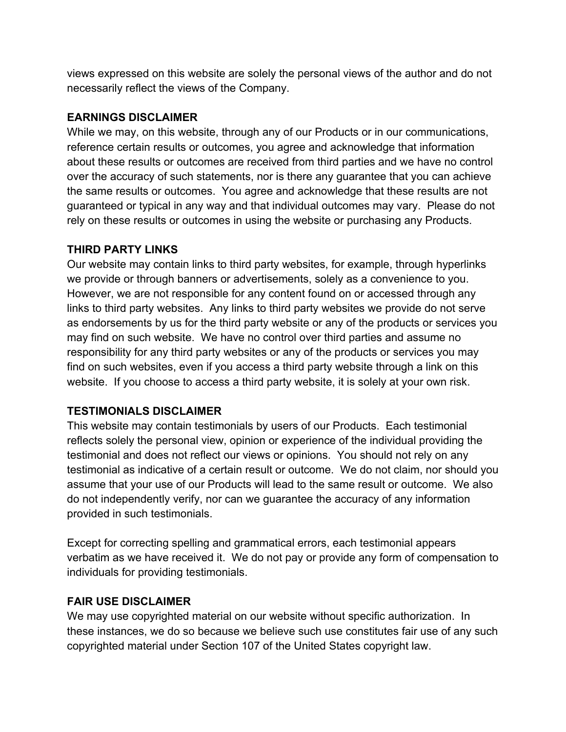views expressed on this website are solely the personal views of the author and do not necessarily reflect the views of the Company.

## **EARNINGS DISCLAIMER**

While we may, on this website, through any of our Products or in our communications, reference certain results or outcomes, you agree and acknowledge that information about these results or outcomes are received from third parties and we have no control over the accuracy of such statements, nor is there any guarantee that you can achieve the same results or outcomes. You agree and acknowledge that these results are not guaranteed or typical in any way and that individual outcomes may vary. Please do not rely on these results or outcomes in using the website or purchasing any Products.

## **THIRD PARTY LINKS**

Our website may contain links to third party websites, for example, through hyperlinks we provide or through banners or advertisements, solely as a convenience to you. However, we are not responsible for any content found on or accessed through any links to third party websites. Any links to third party websites we provide do not serve as endorsements by us for the third party website or any of the products or services you may find on such website. We have no control over third parties and assume no responsibility for any third party websites or any of the products or services you may find on such websites, even if you access a third party website through a link on this website. If you choose to access a third party website, it is solely at your own risk.

## **TESTIMONIALS DISCLAIMER**

This website may contain testimonials by users of our Products. Each testimonial reflects solely the personal view, opinion or experience of the individual providing the testimonial and does not reflect our views or opinions. You should not rely on any testimonial as indicative of a certain result or outcome. We do not claim, nor should you assume that your use of our Products will lead to the same result or outcome. We also do not independently verify, nor can we guarantee the accuracy of any information provided in such testimonials.

Except for correcting spelling and grammatical errors, each testimonial appears verbatim as we have received it. We do not pay or provide any form of compensation to individuals for providing testimonials.

#### **FAIR USE DISCLAIMER**

We may use copyrighted material on our website without specific authorization. In these instances, we do so because we believe such use constitutes fair use of any such copyrighted material under Section 107 of the United States copyright law.